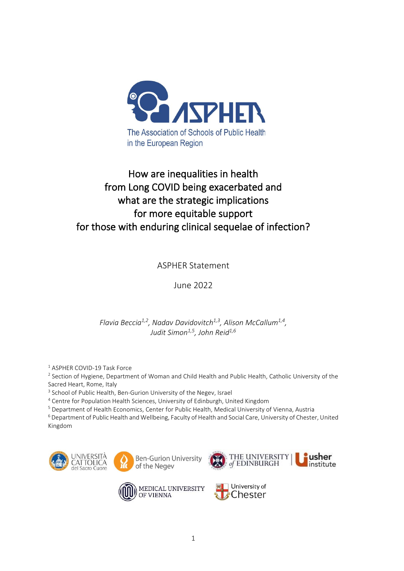

# How are inequalities in health from Long COVID being exacerbated and what are the strategic implications for more equitable support for those with enduring clinical sequelae of infection?

# ASPHER Statement

# June 2022

## *Flavia Beccia1,2, Nadav Davidovitch1,3, Alison McCallum1,4 , Judit Simon1,5 , John Reid1,6*

<sup>1</sup> ASPHER COVID-19 Task Force

 $^2$  Section of Hygiene, Department of Woman and Child Health and Public Health, Catholic University of the Sacred Heart, Rome, Italy

<sup>3</sup> School of Public Health, Ben-Gurion University of the Negev, Israel

<sup>4</sup> Centre for Population Health Sciences, University of Edinburgh, United Kingdom

<sup>5</sup> Department of Health Economics, Center for Public Health, Medical University of Vienna, Austria

<sup>6</sup> Department of Public Health and Wellbeing, Faculty of Health and Social Care, University of Chester, United Kingdom









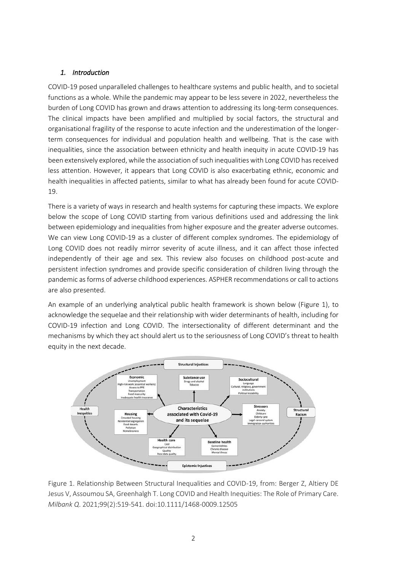### *1. Introduction*

COVID-19 posed unparalleled challenges to healthcare systems and public health, and to societal functions as a whole. While the pandemic may appear to be less severe in 2022, nevertheless the burden of Long COVID has grown and draws attention to addressing its long-term consequences. The clinical impacts have been amplified and multiplied by social factors, the structural and organisational fragility of the response to acute infection and the underestimation of the longerterm consequences for individual and population health and wellbeing. That is the case with inequalities, since the association between ethnicity and health inequity in acute COVID‐19 has been extensively explored, while the association of such inequalities with Long COVID has received less attention. However, it appears that Long COVID is also exacerbating ethnic, economic and health inequalities in affected patients, similar to what has already been found for acute COVID-19.

There is a variety of ways in research and health systems for capturing these impacts. We explore below the scope of Long COVID starting from various definitions used and addressing the link between epidemiology and inequalities from higher exposure and the greater adverse outcomes. We can view Long COVID-19 as a cluster of different complex syndromes. The epidemiology of Long COVID does not readily mirror severity of acute illness, and it can affect those infected independently of their age and sex. This review also focuses on childhood post-acute and persistent infection syndromes and provide specific consideration of children living through the pandemic as forms of adverse childhood experiences. ASPHER recommendations or call to actions are also presented.

An example of an underlying analytical public health framework is shown below (Figure 1), to acknowledge the sequelae and their relationship with wider determinants of health, including for COVID-19 infection and Long COVID. The intersectionality of different determinant and the mechanisms by which they act should alert us to the seriousness of Long COVID's threat to health equity in the next decade.



Figure 1. Relationship Between Structural Inequalities and COVID-19, from: Berger Z, Altiery DE Jesus V, Assoumou SA, Greenhalgh T. Long COVID and Health Inequities: The Role of Primary Care. *Milbank Q*. 2021;99(2):519-541. doi:10.1111/1468-0009.12505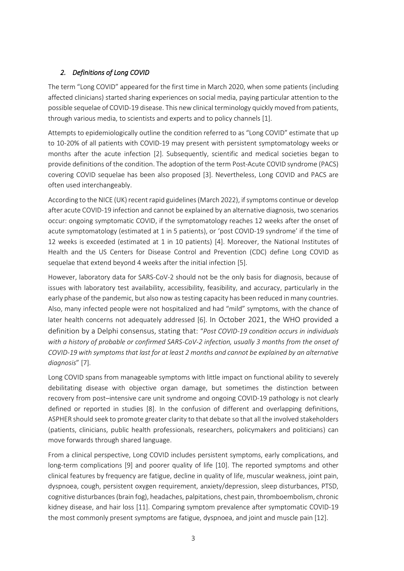### *2. Definitions of Long COVID*

The term "Long COVID" appeared for the first time in March 2020, when some patients (including affected clinicians) started sharing experiences on social media, paying particular attention to the possible sequelae of COVID-19 disease. This new clinical terminology quickly moved from patients, through various media, to scientists and experts and to policy channels [1].

Attempts to epidemiologically outline the condition referred to as "Long COVID" estimate that up to 10-20% of all patients with COVID-19 may present with persistent symptomatology weeks or months after the acute infection [2]. Subsequently, scientific and medical societies began to provide definitions of the condition. The adoption of the term Post-Acute COVID syndrome (PACS) covering COVID sequelae has been also proposed [3]. Nevertheless, Long COVID and PACS are often used interchangeably.

According to the NICE (UK) recent rapid guidelines(March 2022), if symptoms continue or develop after acute COVID-19 infection and cannot be explained by an alternative diagnosis, two scenarios occur: ongoing symptomatic COVID, if the symptomatology reaches 12 weeks after the onset of acute symptomatology (estimated at 1 in 5 patients), or 'post COVID-19 syndrome' if the time of 12 weeks is exceeded (estimated at 1 in 10 patients) [4]. Moreover, the National Institutes of Health and the US Centers for Disease Control and Prevention (CDC) define Long COVID as sequelae that extend beyond 4 weeks after the initial infection [5].

However, laboratory data for SARS-CoV-2 should not be the only basis for diagnosis, because of issues with laboratory test availability, accessibility, feasibility, and accuracy, particularly in the early phase of the pandemic, but also now as testing capacity has been reduced in many countries. Also, many infected people were not hospitalized and had "mild" symptoms, with the chance of later health concerns not adequately addressed [6]. In October 2021, the WHO provided a definition by a Delphi consensus, stating that: "*Post COVID-19 condition occurs in individuals with a history of probable or confirmed SARS-CoV-2 infection, usually 3 months from the onset of COVID-19 with symptoms that last for at least 2 months and cannot be explained by an alternative diagnosis*" [7].

Long COVID spans from manageable symptoms with little impact on functional ability to severely debilitating disease with objective organ damage, but sometimes the distinction between recovery from post–intensive care unit syndrome and ongoing COVID-19 pathology is not clearly defined or reported in studies [8]. In the confusion of different and overlapping definitions, ASPHER should seek to promote greater clarity to that debate so that all the involved stakeholders (patients, clinicians, public health professionals, researchers, policymakers and politicians) can move forwards through shared language.

From a clinical perspective, Long COVID includes persistent symptoms, early complications, and long-term complications [9] and poorer quality of life [10]. The reported symptoms and other clinical features by frequency are fatigue, decline in quality of life, muscular weakness, joint pain, dyspnoea, cough, persistent oxygen requirement, anxiety/depression, sleep disturbances, PTSD, cognitive disturbances (brain fog), headaches, palpitations, chest pain, thromboembolism, chronic kidney disease, and hair loss [11]. Comparing symptom prevalence after symptomatic COVID-19 the most commonly present symptoms are fatigue, dyspnoea, and joint and muscle pain [12].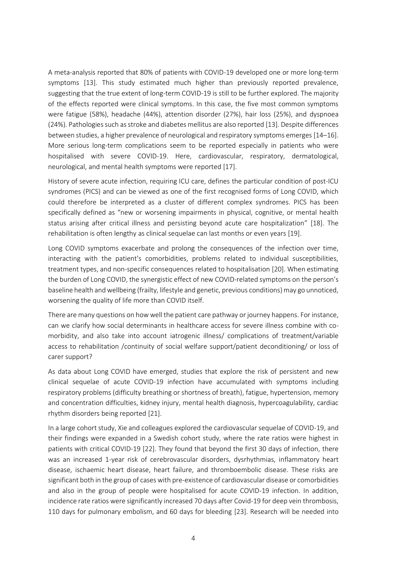A meta-analysis reported that 80% of patients with COVID-19 developed one or more long-term symptoms [13]. This study estimated much higher than previously reported prevalence, suggesting that the true extent of long-term COVID-19 is still to be further explored. The majority of the effects reported were clinical symptoms. In this case, the five most common symptoms were fatigue (58%), headache (44%), attention disorder (27%), hair loss (25%), and dyspnoea (24%). Pathologies such as stroke and diabetes mellitus are also reported [13]. Despite differences between studies, a higher prevalence of neurological and respiratory symptoms emerges [14–16]. More serious long-term complications seem to be reported especially in patients who were hospitalised with severe COVID-19. Here, cardiovascular, respiratory, dermatological, neurological, and mental health symptoms were reported [17].

History of severe acute infection, requiring ICU care, defines the particular condition of post-ICU syndromes (PICS) and can be viewed as one of the first recognised forms of Long COVID, which could therefore be interpreted as a cluster of different complex syndromes. PICS has been specifically defined as "new or worsening impairments in physical, cognitive, or mental health status arising after critical illness and persisting beyond acute care hospitalization" [18]. The rehabilitation is often lengthy as clinical sequelae can last months or even years [19].

Long COVID symptoms exacerbate and prolong the consequences of the infection over time, interacting with the patient's comorbidities, problems related to individual susceptibilities, treatment types, and non-specific consequences related to hospitalisation [20]. When estimating the burden of Long COVID, the synergistic effect of new COVID-related symptoms on the person's baseline health and wellbeing (frailty, lifestyle and genetic, previous conditions) may go unnoticed, worsening the quality of life more than COVID itself.

There are many questions on how well the patient care pathway or journey happens. For instance, can we clarify how social determinants in healthcare access for severe illness combine with comorbidity, and also take into account iatrogenic illness/ complications of treatment/variable access to rehabilitation /continuity of social welfare support/patient deconditioning/ or loss of carer support?

As data about Long COVID have emerged, studies that explore the risk of persistent and new clinical sequelae of acute COVID-19 infection have accumulated with symptoms including respiratory problems (difficulty breathing or shortness of breath), fatigue, hypertension, memory and concentration difficulties, kidney injury, mental health diagnosis, hypercoagulability, cardiac rhythm disorders being reported [21].

In a large cohort study, Xie and colleagues explored the cardiovascular sequelae of COVID-19, and their findings were expanded in a Swedish cohort study, where the rate ratios were highest in patients with critical COVID-19 [22]. They found that beyond the first 30 days of infection, there was an increased 1-year risk of cerebrovascular disorders, dysrhythmias, inflammatory heart disease, ischaemic heart disease, heart failure, and thromboembolic disease. These risks are significant both in the group of cases with pre-existence of cardiovascular disease or comorbidities and also in the group of people were hospitalised for acute COVID-19 infection. In addition, incidence rate ratios were significantly increased 70 days after Covid-19 for deep vein thrombosis, 110 days for pulmonary embolism, and 60 days for bleeding [23]. Research will be needed into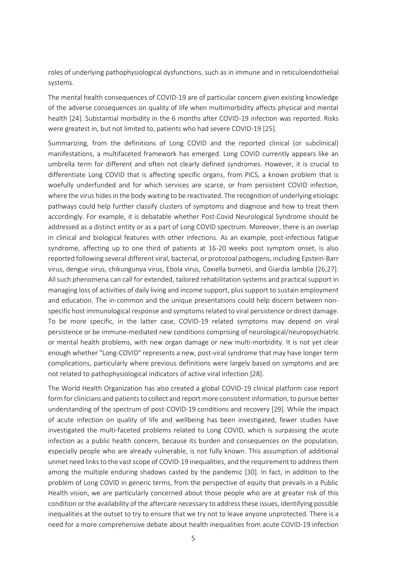roles of underlying pathophysiological dysfunctions, such as in immune and in reticuloendothelial systems.

The mental health consequences of COVID-19 are of particular concern given existing knowledge of the adverse consequences on quality of life when multimorbidity affects physical and mental health [24]. Substantial morbidity in the 6 months after COVID-19 infection was reported. Risks were greatest in, but not limited to, patients who had severe COVID-19 [25].

Summarizing, from the definitions of Long COVID and the reported clinical (or subclinical) manifestations, a multifaceted framework has emerged. Long COVID currently appears like an umbrella term for different and often not clearly defined syndromes. However, it is crucial to differentiate Long COVID that is affecting specific organs, from PICS, a known problem that is woefully underfunded and for which services are scarce, or from persistent COVID infection, where the virus hides in the body waiting to be reactivated. The recognition of underlying etiologic pathways could help further classify clusters of symptoms and diagnose and how to treat them accordingly. For example, it is debatable whether Post-Covid Neurological Syndrome should be addressed as a distinct entity or as a part of Long COVID spectrum. Moreover, there is an overlap in clinical and biological features with other infections. As an example, post-infectious fatigue syndrome, affecting up to one third of patients at 16-20 weeks post symptom onset, is also reported following several different viral, bacterial, or protozoal pathogens, including Epstein-Barr virus, dengue virus, chikungunya virus, Ebola virus, Coxiella burnetii, and Giardia lamblia [26,27]. All such phenomena can call for extended, tailored rehabilitation systems and practical support in managing loss of activities of daily living and income support, plus support to sustain employment and education. The in-common and the unique presentations could help discern between nonspecific host immunological response and symptoms related to viral persistence or direct damage. To be more specific, in the latter case, COVID-19 related symptoms may depend on viral persistence or be immune-mediated new conditions comprising of neurological/neuropsychiatric or mental health problems, with new organ damage or new multi-morbidity. It is not yet clear enough whether "Long-COVID" represents a new, post-viral syndrome that may have longer term complications, particularly where previous definitions were largely based on symptoms and are not related to pathophysiological indicators of active viral infection [28].

The World Health Organization has also created a global COVID-19 clinical platform case report form for clinicians and patients to collect and report more consistent information, to pursue better understanding of the spectrum of post-COVID-19 conditions and recovery [29]. While the impact of acute infection on quality of life and wellbeing has been investigated, fewer studies have investigated the multi-faceted problems related to Long COVID, which is surpassing the acute infection as a public health concern, because its burden and consequences on the population, especially people who are already vulnerable, is not fully known. This assumption of additional unmet need links to the vast scope of COVID-19 inequalities, and the requirement to address them among the multiple enduring shadows casted by the pandemic [30]. In fact, in addition to the problem of Long COVID in generic terms, from the perspective of equity that prevails in a Public Health vision, we are particularly concerned about those people who are at greater risk of this condition or the availability of the aftercare necessary to address these issues, identifying possible inequalities at the outset to try to ensure that we try not to leave anyone unprotected. There is a need for a more comprehensive debate about health inequalities from acute COVID-19 infection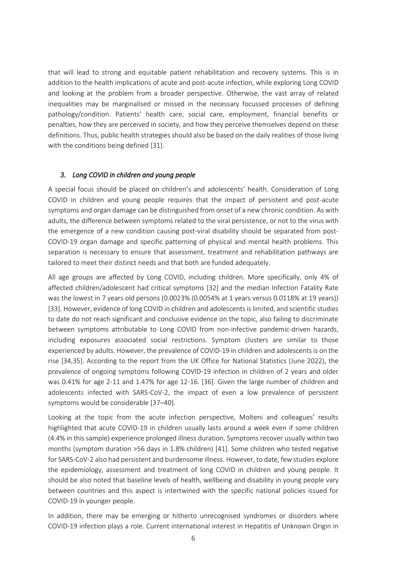that will lead to strong and equitable patient rehabilitation and recovery systems. This is in addition to the health implications of acute and post-acute infection, while exploring Long COVID and looking at the problem from a broader perspective. Otherwise, the vast array of related inequalities may be marginalised or missed in the necessary focussed processes of defining pathology/condition. Patients' health care, social care, employment, financial benefits or penalties, how they are perceived in society, and how they perceive themselves depend on these definitions. Thus, public health strategies should also be based on the daily realities of those living with the conditions being defined [31].

#### *3. Long COVID in children and young people*

A special focus should be placed on children's and adolescents' health. Consideration of Long COVID in children and young people requires that the impact of persistent and post-acute symptoms and organ damage can be distinguished from onset of a new chronic condition. As with adults, the difference between symptoms related to the viral persistence, or not to the virus with the emergence of a new condition causing post-viral disability should be separated from post-COVID-19 organ damage and specific patterning of physical and mental health problems. This separation is necessary to ensure that assessment, treatment and rehabilitation pathways are tailored to meet their distinct needs and that both are funded adequately.

All age groups are affected by Long COVID, including children. More specifically, only 4% of affected children/adolescent had critical symptoms [32] and the median Infection Fatality Rate was the lowest in 7 years old persons (0.0023% (0.0054% at 1 years versus 0.0118% at 19 years)) [33]. However, evidence of long COVID in children and adolescents is limited, and scientific studies to date do not reach significant and conclusive evidence on the topic, also failing to discriminate between symptoms attributable to Long COVID from non-infective pandemic-driven hazards, including exposures associated social restrictions. Symptom clusters are similar to those experienced by adults. However, the prevalence of COVID-19 in children and adolescents is on the rise [34,35]. According to the report from the UK Office for National Statistics (June 2022), the prevalence of ongoing symptoms following COVID-19 infection in children of 2 years and older was 0.41% for age 2-11 and 1.47% for age 12-16. [36]. Given the large number of children and adolescents infected with SARS-CoV-2, the impact of even a low prevalence of persistent symptoms would be considerable [37–40].

Looking at the topic from the acute infection perspective, Molteni and colleagues' results highlighted that acute COVID-19 in children usually lasts around a week even if some children (4.4% in this sample) experience prolonged illness duration. Symptoms recover usually within two months (symptom duration >56 days in 1.8% children) [41]. Some children who tested negative for SARS-CoV-2 also had persistent and burdensome illness. However, to date, few studies explore the epidemiology, assessment and treatment of long COVID in children and young people. It should be also noted that baseline levels of health, wellbeing and disability in young people vary between countries and this aspect is intertwined with the specific national policies issued for COVID-19 in younger people.

In addition, there may be emerging or hitherto unrecognised syndromes or disorders where COVID-19 infection plays a role. Current international interest in Hepatitis of Unknown Origin in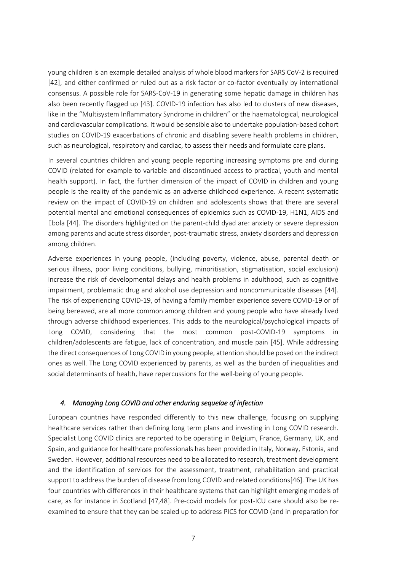young children is an example detailed analysis of whole blood markers for SARS CoV-2 is required [42], and either confirmed or ruled out as a risk factor or co-factor eventually by international consensus. A possible role for SARS-CoV-19 in generating some hepatic damage in children has also been recently flagged up [43]. COVID-19 infection has also led to clusters of new diseases, like in the "Multisystem Inflammatory Syndrome in children" or the haematological, neurological and cardiovascular complications. It would be sensible also to undertake population-based cohort studies on COVID-19 exacerbations of chronic and disabling severe health problems in children, such as neurological, respiratory and cardiac, to assess their needs and formulate care plans.

In several countries children and young people reporting increasing symptoms pre and during COVID (related for example to variable and discontinued access to practical, youth and mental health support). In fact, the further dimension of the impact of COVID in children and young people is the reality of the pandemic as an adverse childhood experience. A recent systematic review on the impact of COVID-19 on children and adolescents shows that there are several potential mental and emotional consequences of epidemics such as COVID-19, H1N1, AIDS and Ebola [44]. The disorders highlighted on the parent-child dyad are: anxiety or severe depression among parents and acute stress disorder, post-traumatic stress, anxiety disorders and depression among children.

Adverse experiences in young people, (including poverty, violence, abuse, parental death or serious illness, poor living conditions, bullying, minoritisation, stigmatisation, social exclusion) increase the risk of developmental delays and health problems in adulthood, such as cognitive impairment, problematic drug and alcohol use depression and noncommunicable diseases [44]. The risk of experiencing COVID-19, of having a family member experience severe COVID-19 or of being bereaved, are all more common among children and young people who have already lived through adverse childhood experiences. This adds to the neurological/psychological impacts of Long COVID, considering that the most common post-COVID-19 symptoms in children/adolescents are fatigue, lack of concentration, and muscle pain [45]. While addressing the direct consequences of Long COVID in young people, attention should be posed on the indirect ones as well. The Long COVID experienced by parents, as well as the burden of inequalities and social determinants of health, have repercussions for the well-being of young people.

#### *4. Managing Long COVID and other enduring sequelae of infection*

European countries have responded differently to this new challenge, focusing on supplying healthcare services rather than defining long term plans and investing in Long COVID research. Specialist Long COVID clinics are reported to be operating in Belgium, France, Germany, UK, and Spain, and guidance for healthcare professionals has been provided in Italy, Norway, Estonia, and Sweden. However, additional resources need to be allocated to research, treatment development and the identification of services for the assessment, treatment, rehabilitation and practical support to address the burden of disease from long COVID and related conditions[46]. The UK has four countries with differences in their healthcare systems that can highlight emerging models of care, as for instance in Scotland [47,48]. Pre-covid models for post-ICU care should also be reexamined to ensure that they can be scaled up to address PICS for COVID (and in preparation for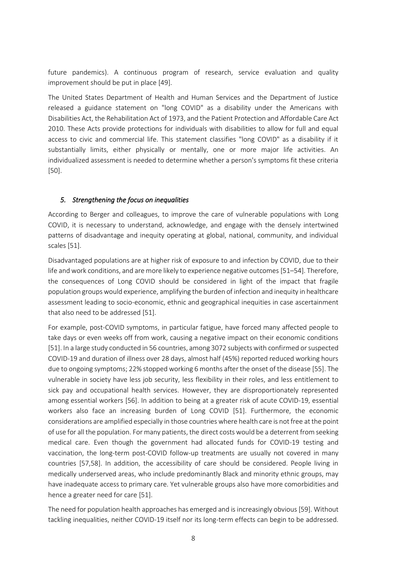future pandemics). A continuous program of research, service evaluation and quality improvement should be put in place [49].

The United States Department of Health and Human Services and the Department of Justice released a guidance statement on "long COVID" as a disability under the Americans with Disabilities Act, the Rehabilitation Act of 1973, and the Patient Protection and Affordable Care Act 2010. These Acts provide protections for individuals with disabilities to allow for full and equal access to civic and commercial life. This statement classifies "long COVID" as a disability if it substantially limits, either physically or mentally, one or more major life activities. An individualized assessment is needed to determine whether a person's symptoms fit these criteria [50].

#### *5. Strengthening the focus on inequalities*

According to Berger and colleagues, to improve the care of vulnerable populations with Long COVID, it is necessary to understand, acknowledge, and engage with the densely intertwined patterns of disadvantage and inequity operating at global, national, community, and individual scales [51].

Disadvantaged populations are at higher risk of exposure to and infection by COVID, due to their life and work conditions, and are more likely to experience negative outcomes [51–54]. Therefore, the consequences of Long COVID should be considered in light of the impact that fragile population groups would experience, amplifying the burden of infection and inequity in healthcare assessment leading to socio-economic, ethnic and geographical inequities in case ascertainment that also need to be addressed [51].

For example, post-COVID symptoms, in particular fatigue, have forced many affected people to take days or even weeks off from work, causing a negative impact on their economic conditions [51]. In a large study conducted in 56 countries, among 3072 subjects with confirmed or suspected COVID-19 and duration of illness over 28 days, almost half (45%) reported reduced working hours due to ongoing symptoms; 22% stopped working 6 months after the onset of the disease [55]. The vulnerable in society have less job security, less flexibility in their roles, and less entitlement to sick pay and occupational health services. However, they are disproportionately represented among essential workers [56]. In addition to being at a greater risk of acute COVID-19, essential workers also face an increasing burden of Long COVID [51]. Furthermore, the economic considerations are amplified especially in those countries where health care is not free at the point of use for all the population. For many patients, the direct costs would be a deterrent from seeking medical care. Even though the government had allocated funds for COVID-19 testing and vaccination, the long-term post-COVID follow-up treatments are usually not covered in many countries [57,58]. In addition, the accessibility of care should be considered. People living in medically underserved areas, who include predominantly Black and minority ethnic groups, may have inadequate access to primary care. Yet vulnerable groups also have more comorbidities and hence a greater need for care [51].

The need for population health approaches has emerged and is increasingly obvious [59]. Without tackling inequalities, neither COVID-19 itself nor its long-term effects can begin to be addressed.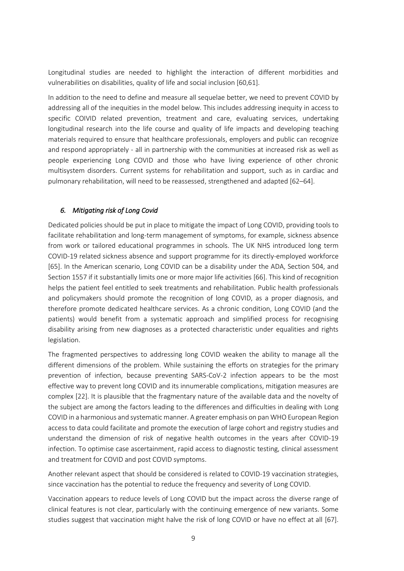Longitudinal studies are needed to highlight the interaction of different morbidities and vulnerabilities on disabilities, quality of life and social inclusion [60,61].

In addition to the need to define and measure all sequelae better, we need to prevent COVID by addressing all of the inequities in the model below. This includes addressing inequity in access to specific COIVID related prevention, treatment and care, evaluating services, undertaking longitudinal research into the life course and quality of life impacts and developing teaching materials required to ensure that healthcare professionals, employers and public can recognize and respond appropriately - all in partnership with the communities at increased risk as well as people experiencing Long COVID and those who have living experience of other chronic multisystem disorders. Current systems for rehabilitation and support, such as in cardiac and pulmonary rehabilitation, will need to be reassessed, strengthened and adapted [62–64].

### *6. Mitigating risk of Long Covid*

Dedicated policies should be put in place to mitigate the impact of Long COVID, providing tools to facilitate rehabilitation and long-term management of symptoms, for example, sickness absence from work or tailored educational programmes in schools. The UK NHS introduced long term COVID-19 related sickness absence and support programme for its directly-employed workforce [65]. In the American scenario, Long COVID can be a disability under the ADA, Section 504, and Section 1557 if it substantially limits one or more major life activities [66]. This kind of recognition helps the patient feel entitled to seek treatments and rehabilitation. Public health professionals and policymakers should promote the recognition of long COVID, as a proper diagnosis, and therefore promote dedicated healthcare services. As a chronic condition, Long COVID (and the patients) would benefit from a systematic approach and simplified process for recognising disability arising from new diagnoses as a protected characteristic under equalities and rights legislation.

The fragmented perspectives to addressing long COVID weaken the ability to manage all the different dimensions of the problem. While sustaining the efforts on strategies for the primary prevention of infection, because preventing SARS-CoV-2 infection appears to be the most effective way to prevent long COVID and its innumerable complications, mitigation measures are complex [22]. It is plausible that the fragmentary nature of the available data and the novelty of the subject are among the factors leading to the differences and difficulties in dealing with Long COVID in a harmonious and systematic manner. A greater emphasis on pan WHO European Region access to data could facilitate and promote the execution of large cohort and registry studies and understand the dimension of risk of negative health outcomes in the years after COVID-19 infection. To optimise case ascertainment, rapid access to diagnostic testing, clinical assessment and treatment for COVID and post COVID symptoms.

Another relevant aspect that should be considered is related to COVID-19 vaccination strategies, since vaccination has the potential to reduce the frequency and severity of Long COVID.

Vaccination appears to reduce levels of Long COVID but the impact across the diverse range of clinical features is not clear, particularly with the continuing emergence of new variants. Some studies suggest that vaccination might halve the risk of long COVID or have no effect at all [67].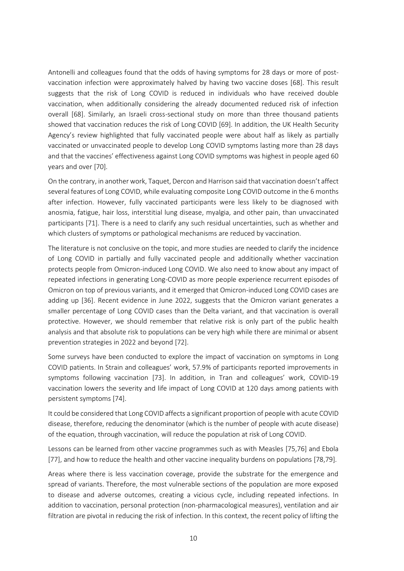Antonelli and colleagues found that the odds of having symptoms for 28 days or more of postvaccination infection were approximately halved by having two vaccine doses [68]. This result suggests that the risk of Long COVID is reduced in individuals who have received double vaccination, when additionally considering the already documented reduced risk of infection overall [68]. Similarly, an Israeli cross-sectional study on more than three thousand patients showed that vaccination reduces the risk of Long COVID [69]. In addition, the UK Health Security Agency's review highlighted that fully vaccinated people were about half as likely as partially vaccinated or unvaccinated people to develop Long COVID symptoms lasting more than 28 days and that the vaccines' effectiveness against Long COVID symptoms was highest in people aged 60 years and over [70].

On the contrary, in another work, Taquet, Dercon and Harrison said that vaccination doesn't affect several features of Long COVID, while evaluating composite Long COVID outcome in the 6 months after infection. However, fully vaccinated participants were less likely to be diagnosed with anosmia, fatigue, hair loss, interstitial lung disease, myalgia, and other pain, than unvaccinated participants [71]. There is a need to clarify any such residual uncertainties, such as whether and which clusters of symptoms or pathological mechanisms are reduced by vaccination.

The literature is not conclusive on the topic, and more studies are needed to clarify the incidence of Long COVID in partially and fully vaccinated people and additionally whether vaccination protects people from Omicron-induced Long COVID. We also need to know about any impact of repeated infections in generating Long-COVID as more people experience recurrent episodes of Omicron on top of previous variants, and it emerged that Omicron-induced Long COVID cases are adding up [36]. Recent evidence in June 2022, suggests that the Omicron variant generates a smaller percentage of Long COVID cases than the Delta variant, and that vaccination is overall protective. However, we should remember that relative risk is only part of the public health analysis and that absolute risk to populations can be very high while there are minimal or absent prevention strategies in 2022 and beyond [72].

Some surveys have been conducted to explore the impact of vaccination on symptoms in Long COVID patients. In Strain and colleagues' work, 57.9% of participants reported improvements in symptoms following vaccination [73]. In addition, in Tran and colleagues' work, COVID-19 vaccination lowers the severity and life impact of Long COVID at 120 days among patients with persistent symptoms [74].

It could be considered that Long COVID affects a significant proportion of people with acute COVID disease, therefore, reducing the denominator (which is the number of people with acute disease) of the equation, through vaccination, will reduce the population at risk of Long COVID.

Lessons can be learned from other vaccine programmes such as with Measles [75,76] and Ebola [77], and how to reduce the health and other vaccine inequality burdens on populations [78,79].

Areas where there is less vaccination coverage, provide the substrate for the emergence and spread of variants. Therefore, the most vulnerable sections of the population are more exposed to disease and adverse outcomes, creating a vicious cycle, including repeated infections. In addition to vaccination, personal protection (non-pharmacological measures), ventilation and air filtration are pivotal in reducing the risk of infection. In this context, the recent policy of lifting the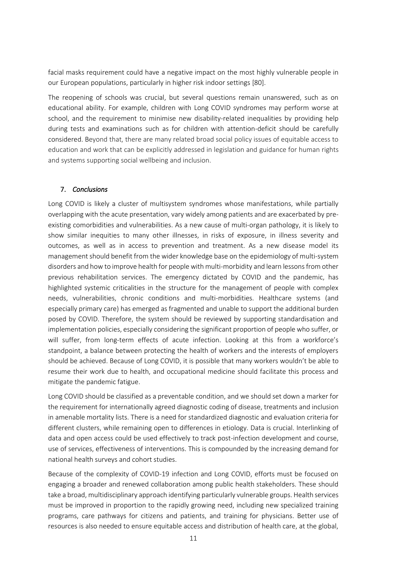facial masks requirement could have a negative impact on the most highly vulnerable people in our European populations, particularly in higher risk indoor settings [80].

The reopening of schools was crucial, but several questions remain unanswered, such as on educational ability. For example, children with Long COVID syndromes may perform worse at school, and the requirement to minimise new disability-related inequalities by providing help during tests and examinations such as for children with attention-deficit should be carefully considered. Beyond that, there are many related broad social policy issues of equitable access to education and work that can be explicitly addressed in legislation and guidance for human rights and systems supporting social wellbeing and inclusion.

#### 7. *Conclusions*

Long COVID is likely a cluster of multisystem syndromes whose manifestations, while partially overlapping with the acute presentation, vary widely among patients and are exacerbated by preexisting comorbidities and vulnerabilities. As a new cause of multi-organ pathology, it is likely to show similar inequities to many other illnesses, in risks of exposure, in illness severity and outcomes, as well as in access to prevention and treatment. As a new disease model its management should benefit from the wider knowledge base on the epidemiology of multi-system disorders and how to improve health for people with multi-morbidity and learn lessonsfrom other previous rehabilitation services. The emergency dictated by COVID and the pandemic, has highlighted systemic criticalities in the structure for the management of people with complex needs, vulnerabilities, chronic conditions and multi-morbidities. Healthcare systems (and especially primary care) has emerged as fragmented and unable to support the additional burden posed by COVID. Therefore, the system should be reviewed by supporting standardisation and implementation policies, especially considering the significant proportion of people who suffer, or will suffer, from long-term effects of acute infection. Looking at this from a workforce's standpoint, a balance between protecting the health of workers and the interests of employers should be achieved. Because of Long COVID, it is possible that many workers wouldn't be able to resume their work due to health, and occupational medicine should facilitate this process and mitigate the pandemic fatigue.

Long COVID should be classified as a preventable condition, and we should set down a marker for the requirement for internationally agreed diagnostic coding of disease, treatments and inclusion in amenable mortality lists. There is a need for standardized diagnostic and evaluation criteria for different clusters, while remaining open to differences in etiology. Data is crucial. Interlinking of data and open access could be used effectively to track post-infection development and course, use of services, effectiveness of interventions. This is compounded by the increasing demand for national health surveys and cohort studies.

Because of the complexity of COVID-19 infection and Long COVID, efforts must be focused on engaging a broader and renewed collaboration among public health stakeholders. These should take a broad, multidisciplinary approach identifying particularly vulnerable groups. Health services must be improved in proportion to the rapidly growing need, including new specialized training programs, care pathways for citizens and patients, and training for physicians. Better use of resources is also needed to ensure equitable access and distribution of health care, at the global,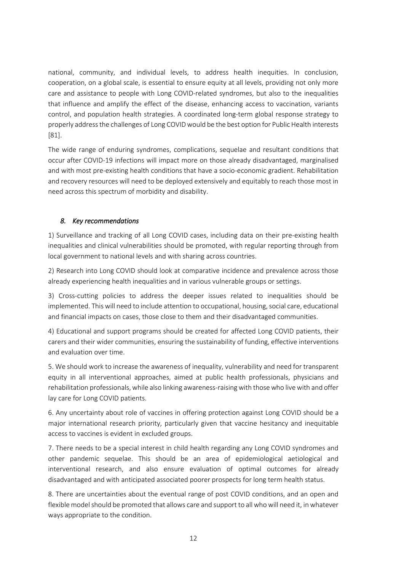national, community, and individual levels, to address health inequities. In conclusion, cooperation, on a global scale, is essential to ensure equity at all levels, providing not only more care and assistance to people with Long COVID-related syndromes, but also to the inequalities that influence and amplify the effect of the disease, enhancing access to vaccination, variants control, and population health strategies. A coordinated long-term global response strategy to properly address the challenges of Long COVID would be the best option for Public Health interests [81].

The wide range of enduring syndromes, complications, sequelae and resultant conditions that occur after COVID-19 infections will impact more on those already disadvantaged, marginalised and with most pre-existing health conditions that have a socio-economic gradient. Rehabilitation and recovery resources will need to be deployed extensively and equitably to reach those most in need across this spectrum of morbidity and disability.

### *8. Key recommendations*

1) Surveillance and tracking of all Long COVID cases, including data on their pre-existing health inequalities and clinical vulnerabilities should be promoted, with regular reporting through from local government to national levels and with sharing across countries.

2) Research into Long COVID should look at comparative incidence and prevalence across those already experiencing health inequalities and in various vulnerable groups or settings.

3) Cross-cutting policies to address the deeper issues related to inequalities should be implemented. This will need to include attention to occupational, housing, social care, educational and financial impacts on cases, those close to them and their disadvantaged communities.

4) Educational and support programs should be created for affected Long COVID patients, their carers and their wider communities, ensuring the sustainability of funding, effective interventions and evaluation over time.

5. We should work to increase the awareness of inequality, vulnerability and need for transparent equity in all interventional approaches, aimed at public health professionals, physicians and rehabilitation professionals, while also linking awareness-raising with those who live with and offer lay care for Long COVID patients.

6. Any uncertainty about role of vaccines in offering protection against Long COVID should be a major international research priority, particularly given that vaccine hesitancy and inequitable access to vaccines is evident in excluded groups.

7. There needs to be a special interest in child health regarding any Long COVID syndromes and other pandemic sequelae. This should be an area of epidemiological aetiological and interventional research, and also ensure evaluation of optimal outcomes for already disadvantaged and with anticipated associated poorer prospects for long term health status.

8. There are uncertainties about the eventual range of post COVID conditions, and an open and flexible model should be promoted that allows care and support to all who will need it, in whatever ways appropriate to the condition.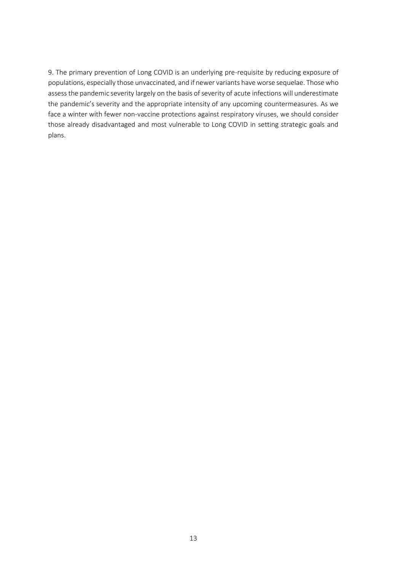9. The primary prevention of Long COVID is an underlying pre-requisite by reducing exposure of populations, especially those unvaccinated, and if newer variants have worse sequelae. Those who assess the pandemic severity largely on the basis of severity of acute infections will underestimate the pandemic's severity and the appropriate intensity of any upcoming countermeasures. As we face a winter with fewer non-vaccine protections against respiratory viruses, we should consider those already disadvantaged and most vulnerable to Long COVID in setting strategic goals and plans.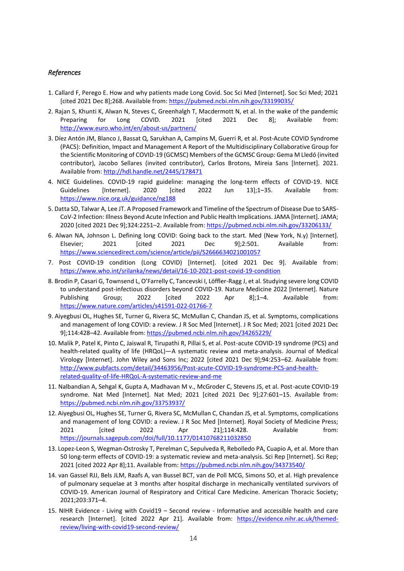#### *References*

- 1. Callard F, Perego E. How and why patients made Long Covid. Soc Sci Med [Internet]. Soc Sci Med; 2021 [cited 2021 Dec 8];268. Available from:<https://pubmed.ncbi.nlm.nih.gov/33199035/>
- 2. Rajan S, Khunti K, Alwan N, Steves C, Greenhalgh T, Macdermott N, et al. In the wake of the pandemic Preparing for Long COVID. 2021 [cited 2021 Dec 8]; Available from: <http://www.euro.who.int/en/about-us/partners/>
- 3. Díez Antón JM, Blanco J, Bassat Q, Sarukhan A, Campins M, Guerri R, et al. Post-Acute COVID Syndrome (PACS): Definition, Impact and Management A Report of the Multidisciplinary Collaborative Group for the Scientific Monitoring of COVID-19 (GCMSC) Members of the GCMSC Group: Gema M Lledó (invited contributor), Jacobo Sellares (invited contributor), Carlos Brotons, Mireia Sans [Internet]. 2021. Available from:<http://hdl.handle.net/2445/178471>
- 4. NICE Guidelines. COVID-19 rapid guideline: managing the long-term effects of COVID-19. NICE Guidelines [Internet]. 2020 [cited 2022 Jun 13];1–35. Available from: <https://www.nice.org.uk/guidance/ng188>
- 5. Datta SD, Talwar A, Lee JT. A Proposed Framework and Timeline of the Spectrum of Disease Due to SARS-CoV-2 Infection: Illness Beyond Acute Infection and Public Health Implications. JAMA [Internet]. JAMA; 2020 [cited 2021 Dec 9];324:2251–2. Available from:<https://pubmed.ncbi.nlm.nih.gov/33206133/>
- 6. Alwan NA, Johnson L. Defining long COVID: Going back to the start. Med (New York, N.y) [Internet]. Elsevier; 2021 [cited 2021 Dec 9];2:501. Available from: <https://www.sciencedirect.com/science/article/pii/S2666634021001057>
- 7. Post COVID-19 condition (Long COVID) [Internet]. [cited 2021 Dec 9]. Available from: <https://www.who.int/srilanka/news/detail/16-10-2021-post-covid-19-condition>
- 8. Brodin P, Casari G, Townsend L, O'Farrelly C, Tancevski I, Löffler-Ragg J, et al. Studying severe long COVID to understand post-infectious disorders beyond COVID-19. Nature Medicine 2022 [Internet]. Nature Publishing Group; 2022 [cited 2022 Apr 8];1–4. Available from: <https://www.nature.com/articles/s41591-022-01766-7>
- 9. Aiyegbusi OL, Hughes SE, Turner G, Rivera SC, McMullan C, Chandan JS, et al. Symptoms, complications and management of long COVID: a review. J R Soc Med [Internet]. J R Soc Med; 2021 [cited 2021 Dec 9];114:428–42. Available from[: https://pubmed.ncbi.nlm.nih.gov/34265229/](https://pubmed.ncbi.nlm.nih.gov/34265229/)
- 10. Malik P, Patel K, Pinto C, Jaiswal R, Tirupathi R, Pillai S, et al. Post-acute COVID-19 syndrome (PCS) and health-related quality of life (HRQoL)—A systematic review and meta-analysis. Journal of Medical Virology [Internet]. John Wiley and Sons Inc; 2022 [cited 2021 Dec 9];94:253–62. Available from: [http://www.pubfacts.com/detail/34463956/Post-acute-COVID-19-syndrome-PCS-and-health](http://www.pubfacts.com/detail/34463956/Post-acute-COVID-19-syndrome-PCS-and-health-related-quality-of-life-HRQoL-A-systematic-review-and-me)[related-quality-of-life-HRQoL-A-systematic-review-and-me](http://www.pubfacts.com/detail/34463956/Post-acute-COVID-19-syndrome-PCS-and-health-related-quality-of-life-HRQoL-A-systematic-review-and-me)
- 11. Nalbandian A, Sehgal K, Gupta A, Madhavan M v., McGroder C, Stevens JS, et al. Post-acute COVID-19 syndrome. Nat Med [Internet]. Nat Med; 2021 [cited 2021 Dec 9];27:601–15. Available from: <https://pubmed.ncbi.nlm.nih.gov/33753937/>
- 12. Aiyegbusi OL, Hughes SE, Turner G, Rivera SC, McMullan C, Chandan JS, et al. Symptoms, complications and management of long COVID: a review. J R Soc Med [Internet]. Royal Society of Medicine Press; 2021 [cited 2022 Apr 21];114:428. Available from: <https://journals.sagepub.com/doi/full/10.1177/01410768211032850>
- 13. Lopez-Leon S, Wegman-Ostrosky T, Perelman C, Sepulveda R, Rebolledo PA, Cuapio A, et al. More than 50 long-term effects of COVID-19: a systematic review and meta-analysis. Sci Rep [Internet]. Sci Rep; 2021 [cited 2022 Apr 8];11. Available from:<https://pubmed.ncbi.nlm.nih.gov/34373540/>
- 14. van Gassel RJJ, Bels JLM, Raafs A, van Bussel BCT, van de Poll MCG, Simons SO, et al. High prevalence of pulmonary sequelae at 3 months after hospital discharge in mechanically ventilated survivors of COVID-19. American Journal of Respiratory and Critical Care Medicine. American Thoracic Society; 2021;203:371–4.
- 15. NIHR Evidence Living with Covid19 Second review Informative and accessible health and care research [Internet]. [cited 2022 Apr 21]. Available from: [https://evidence.nihr.ac.uk/themed](https://evidence.nihr.ac.uk/themed-review/living-with-covid19-second-review/)[review/living-with-covid19-second-review/](https://evidence.nihr.ac.uk/themed-review/living-with-covid19-second-review/)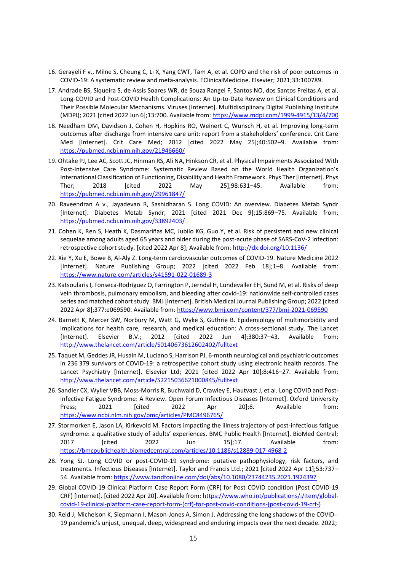- 16. Gerayeli F v., Milne S, Cheung C, Li X, Yang CWT, Tam A, et al. COPD and the risk of poor outcomes in COVID-19: A systematic review and meta-analysis. EClinicalMedicine. Elsevier; 2021;33:100789.
- 17. Andrade BS, Siqueira S, de Assis Soares WR, de Souza Rangel F, Santos NO, dos Santos Freitas A, et al. Long-COVID and Post-COVID Health Complications: An Up-to-Date Review on Clinical Conditions and Their Possible Molecular Mechanisms. Viruses [Internet]. Multidisciplinary Digital Publishing Institute (MDPI); 2021 [cited 2022 Jun 6];13:700. Available from[: https://www.mdpi.com/1999-4915/13/4/700](https://www.mdpi.com/1999-4915/13/4/700)
- 18. Needham DM, Davidson J, Cohen H, Hopkins RO, Weinert C, Wunsch H, et al. Improving long-term outcomes after discharge from intensive care unit: report from a stakeholders' conference. Crit Care Med [Internet]. Crit Care Med; 2012 [cited 2022 May 25];40:502–9. Available from: <https://pubmed.ncbi.nlm.nih.gov/21946660/>
- 19. Ohtake PJ, Lee AC, Scott JC, Hinman RS, Ali NA, Hinkson CR, et al. Physical Impairments Associated With Post-Intensive Care Syndrome: Systematic Review Based on the World Health Organization's International Classification of Functioning, Disability and Health Framework. Phys Ther [Internet]. Phys Ther; 2018 [cited 2022 May 25];98:631–45. Available from: <https://pubmed.ncbi.nlm.nih.gov/29961847/>
- 20. Raveendran A v., Jayadevan R, Sashidharan S. Long COVID: An overview. Diabetes Metab Syndr [Internet]. Diabetes Metab Syndr; 2021 [cited 2021 Dec 9];15:869–75. Available from: <https://pubmed.ncbi.nlm.nih.gov/33892403/>
- 21. Cohen K, Ren S, Heath K, Dasmariñas MC, Jubilo KG, Guo Y, et al. Risk of persistent and new clinical sequelae among adults aged 65 years and older during the post-acute phase of SARS-CoV-2 infection: retrospective cohort study. [cited 2022 Apr 8]; Available from:<http://dx.doi.org/10.1136/>
- 22. Xie Y, Xu E, Bowe B, Al-Aly Z. Long-term cardiovascular outcomes of COVID-19. Nature Medicine 2022 [Internet]. Nature Publishing Group; 2022 [cited 2022 Feb 18];1–8. Available from: <https://www.nature.com/articles/s41591-022-01689-3>
- 23. Katsoularis I, Fonseca-Rodríguez O, Farrington P, Jerndal H, Lundevaller EH, Sund M, et al. Risks of deep vein thrombosis, pulmonary embolism, and bleeding after covid-19: nationwide self-controlled cases series and matched cohort study. BMJ [Internet]. British Medical Journal Publishing Group; 2022 [cited 2022 Apr 8];377:e069590. Available from:<https://www.bmj.com/content/377/bmj-2021-069590>
- 24. Barnett K, Mercer SW, Norbury M, Watt G, Wyke S, Guthrie B. Epidemiology of multimorbidity and implications for health care, research, and medical education: A cross-sectional study. The Lancet [Internet]. Elsevier B.V.; 2012 [cited 2022 Jun 4];380:37–43. Available from: <http://www.thelancet.com/article/S0140673612602402/fulltext>
- 25. Taquet M, Geddes JR, Husain M, Luciano S, Harrison PJ. 6-month neurological and psychiatric outcomes in 236 379 survivors of COVID-19: a retrospective cohort study using electronic health records. The Lancet Psychiatry [Internet]. Elsevier Ltd; 2021 [cited 2022 Apr 10];8:416–27. Available from: <http://www.thelancet.com/article/S2215036621000845/fulltext>
- 26. Sandler CX, Wyller VBB, Moss-Morris R, Buchwald D, Crawley E, Hautvast J, et al. Long COVID and Postinfective Fatigue Syndrome: A Review. Open Forum Infectious Diseases [Internet]. Oxford University Press; 2021 [cited 2022 Apr 20];8. Available from: <https://www.ncbi.nlm.nih.gov/pmc/articles/PMC8496765/>
- 27. Stormorken E, Jason LA, Kirkevold M. Factors impacting the illness trajectory of post-infectious fatigue syndrome: a qualitative study of adults' experiences. BMC Public Health [Internet]. BioMed Central; 2017 [cited 2022 Jun 15];17. Available from: <https://bmcpublichealth.biomedcentral.com/articles/10.1186/s12889-017-4968-2>
- 28. Yong SJ. Long COVID or post-COVID-19 syndrome: putative pathophysiology, risk factors, and treatments. Infectious Diseases [Internet]. Taylor and Francis Ltd.; 2021 [cited 2022 Apr 11];53:737– 54. Available from:<https://www.tandfonline.com/doi/abs/10.1080/23744235.2021.1924397>
- 29. Global COVID-19 Clinical Platform Case Report Form (CRF) for Post COVID condition (Post COVID-19 CRF) [Internet]. [cited 2022 Apr 20]. Available from: [https://www.who.int/publications/i/item/global](https://www.who.int/publications/i/item/global-covid-19-clinical-platform-case-report-form-(crf)-for-post-covid-conditions-(post-covid-19-crf-)[covid-19-clinical-platform-case-report-form-\(crf\)-for-post-covid-conditions-\(post-covid-19-crf-\)](https://www.who.int/publications/i/item/global-covid-19-clinical-platform-case-report-form-(crf)-for-post-covid-conditions-(post-covid-19-crf-)
- 30. Reid J, Michelson K, Siepmann I, Mason-Jones A, Simon J. Addressing the long shadows of the COVID-- 19 pandemic's unjust, unequal, deep, widespread and enduring impacts over the next decade. 2022;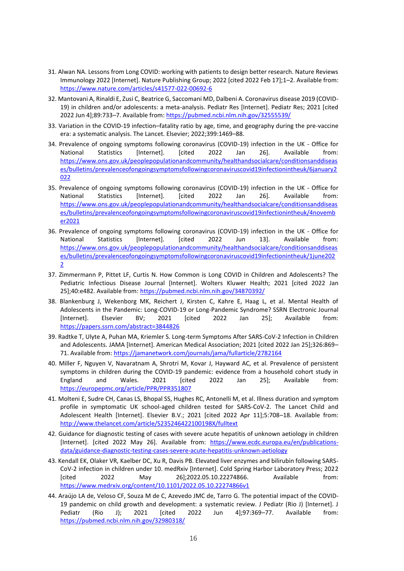- 31. Alwan NA. Lessons from Long COVID: working with patients to design better research. Nature Reviews Immunology 2022 [Internet]. Nature Publishing Group; 2022 [cited 2022 Feb 17];1–2. Available from: <https://www.nature.com/articles/s41577-022-00692-6>
- 32. Mantovani A, Rinaldi E, Zusi C, Beatrice G, Saccomani MD, Dalbeni A. Coronavirus disease 2019 (COVID-19) in children and/or adolescents: a meta-analysis. Pediatr Res [Internet]. Pediatr Res; 2021 [cited 2022 Jun 4];89:733–7. Available from:<https://pubmed.ncbi.nlm.nih.gov/32555539/>
- 33. Variation in the COVID-19 infection–fatality ratio by age, time, and geography during the pre-vaccine era: a systematic analysis. The Lancet. Elsevier; 2022;399:1469–88.
- 34. Prevalence of ongoing symptoms following coronavirus (COVID-19) infection in the UK Office for National Statistics [Internet]. [cited 2022 Jan 26]. Available from: [https://www.ons.gov.uk/peoplepopulationandcommunity/healthandsocialcare/conditionsanddiseas](https://www.ons.gov.uk/peoplepopulationandcommunity/healthandsocialcare/conditionsanddiseases/bulletins/prevalenceofongoingsymptomsfollowingcoronaviruscovid19infectionintheuk/6january2022) [es/bulletins/prevalenceofongoingsymptomsfollowingcoronaviruscovid19infectionintheuk/6january2](https://www.ons.gov.uk/peoplepopulationandcommunity/healthandsocialcare/conditionsanddiseases/bulletins/prevalenceofongoingsymptomsfollowingcoronaviruscovid19infectionintheuk/6january2022) [022](https://www.ons.gov.uk/peoplepopulationandcommunity/healthandsocialcare/conditionsanddiseases/bulletins/prevalenceofongoingsymptomsfollowingcoronaviruscovid19infectionintheuk/6january2022)
- 35. Prevalence of ongoing symptoms following coronavirus (COVID-19) infection in the UK Office for National Statistics [Internet]. [cited 2022 Jan 26]. Available from: [https://www.ons.gov.uk/peoplepopulationandcommunity/healthandsocialcare/conditionsanddiseas](https://www.ons.gov.uk/peoplepopulationandcommunity/healthandsocialcare/conditionsanddiseases/bulletins/prevalenceofongoingsymptomsfollowingcoronaviruscovid19infectionintheuk/4november2021) [es/bulletins/prevalenceofongoingsymptomsfollowingcoronaviruscovid19infectionintheuk/4novemb](https://www.ons.gov.uk/peoplepopulationandcommunity/healthandsocialcare/conditionsanddiseases/bulletins/prevalenceofongoingsymptomsfollowingcoronaviruscovid19infectionintheuk/4november2021) [er2021](https://www.ons.gov.uk/peoplepopulationandcommunity/healthandsocialcare/conditionsanddiseases/bulletins/prevalenceofongoingsymptomsfollowingcoronaviruscovid19infectionintheuk/4november2021)
- 36. Prevalence of ongoing symptoms following coronavirus (COVID-19) infection in the UK Office for National Statistics [Internet]. [cited 2022 Jun 13]. Available from: [https://www.ons.gov.uk/peoplepopulationandcommunity/healthandsocialcare/conditionsanddiseas](https://www.ons.gov.uk/peoplepopulationandcommunity/healthandsocialcare/conditionsanddiseases/bulletins/prevalenceofongoingsymptomsfollowingcoronaviruscovid19infectionintheuk/1june2022) [es/bulletins/prevalenceofongoingsymptomsfollowingcoronaviruscovid19infectionintheuk/1june202](https://www.ons.gov.uk/peoplepopulationandcommunity/healthandsocialcare/conditionsanddiseases/bulletins/prevalenceofongoingsymptomsfollowingcoronaviruscovid19infectionintheuk/1june2022) [2](https://www.ons.gov.uk/peoplepopulationandcommunity/healthandsocialcare/conditionsanddiseases/bulletins/prevalenceofongoingsymptomsfollowingcoronaviruscovid19infectionintheuk/1june2022)
- 37. Zimmermann P, Pittet LF, Curtis N. How Common is Long COVID in Children and Adolescents? The Pediatric Infectious Disease Journal [Internet]. Wolters Kluwer Health; 2021 [cited 2022 Jan 25];40:e482. Available from[: https://pubmed.ncbi.nlm.nih.gov/34870392/](https://pubmed.ncbi.nlm.nih.gov/34870392/)
- 38. Blankenburg J, Wekenborg MK, Reichert J, Kirsten C, Kahre E, Haag L, et al. Mental Health of Adolescents in the Pandemic: Long-COVID-19 or Long-Pandemic Syndrome? SSRN Electronic Journal [Internet]. Elsevier BV; 2021 [cited 2022 Jan 25]; Available from: <https://papers.ssrn.com/abstract=3844826>
- 39. Radtke T, Ulyte A, Puhan MA, Kriemler S. Long-term Symptoms After SARS-CoV-2 Infection in Children and Adolescents. JAMA [Internet]. American Medical Association; 2021 [cited 2022 Jan 25];326:869– 71. Available from:<https://jamanetwork.com/journals/jama/fullarticle/2782164>
- 40. Miller F, Nguyen V, Navaratnam A, Shrotri M, Kovar J, Hayward AC, et al. Prevalence of persistent symptoms in children during the COVID-19 pandemic: evidence from a household cohort study in England and Wales. 2021 [cited 2022 Jan 25]; Available from: <https://europepmc.org/article/PPR/PPR351807>
- 41. Molteni E, Sudre CH, Canas LS, Bhopal SS, Hughes RC, Antonelli M, et al. Illness duration and symptom profile in symptomatic UK school-aged children tested for SARS-CoV-2. The Lancet Child and Adolescent Health [Internet]. Elsevier B.V.; 2021 [cited 2022 Apr 11];5:708–18. Available from: <http://www.thelancet.com/article/S235246422100198X/fulltext>
- 42. Guidance for diagnostic testing of cases with severe acute hepatitis of unknown aetiology in children [Internet]. [cited 2022 May 26]. Available from: [https://www.ecdc.europa.eu/en/publications](https://www.ecdc.europa.eu/en/publications-data/guidance-diagnostic-testing-cases-severe-acute-hepatitis-unknown-aetiology)[data/guidance-diagnostic-testing-cases-severe-acute-hepatitis-unknown-aetiology](https://www.ecdc.europa.eu/en/publications-data/guidance-diagnostic-testing-cases-severe-acute-hepatitis-unknown-aetiology)
- 43. Kendall EK, Olaker VR, Kaelber DC, Xu R, Davis PB. Elevated liver enzymes and bilirubin following SARS-CoV-2 infection in children under 10. medRxiv [Internet]. Cold Spring Harbor Laboratory Press; 2022 [cited 2022 May 26];2022.05.10.22274866. Available from: <https://www.medrxiv.org/content/10.1101/2022.05.10.22274866v1>
- 44. Araújo LA de, Veloso CF, Souza M de C, Azevedo JMC de, Tarro G. The potential impact of the COVID-19 pandemic on child growth and development: a systematic review. J Pediatr (Rio J) [Internet]. J Pediatr (Rio J); 2021 [cited 2022 Jun 4];97:369–77. Available from: <https://pubmed.ncbi.nlm.nih.gov/32980318/>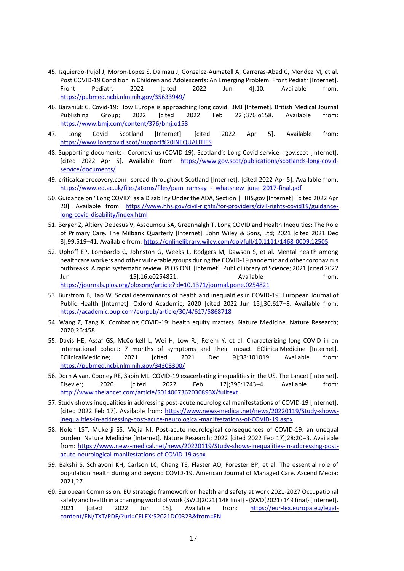- 45. Izquierdo-Pujol J, Moron-Lopez S, Dalmau J, Gonzalez-Aumatell A, Carreras-Abad C, Mendez M, et al. Post COVID-19 Condition in Children and Adolescents: An Emerging Problem. Front Pediatr [Internet]. Front Pediatr; 2022 [cited 2022 Jun 4];10. Available from: <https://pubmed.ncbi.nlm.nih.gov/35633949/>
- 46. Baraniuk C. Covid-19: How Europe is approaching long covid. BMJ [Internet]. British Medical Journal Publishing Group; 2022 [cited 2022 Feb 22];376:o158. Available from: <https://www.bmj.com/content/376/bmj.o158>
- 47. Long Covid Scotland [Internet]. [cited 2022 Apr 5]. Available from: <https://www.longcovid.scot/support%20INEQUALITIES>
- 48. Supporting documents Coronavirus (COVID-19): Scotland's Long Covid service gov.scot [Internet]. [cited 2022 Apr 5]. Available from: [https://www.gov.scot/publications/scotlands-long-covid](https://www.gov.scot/publications/scotlands-long-covid-service/documents/)[service/documents/](https://www.gov.scot/publications/scotlands-long-covid-service/documents/)
- 49. criticalcarerecovery.com -spread throughout Scotland [Internet]. [cited 2022 Apr 5]. Available from: [https://www.ed.ac.uk/files/atoms/files/pam\\_ramsay\\_-\\_whatsnew\\_june\\_2017-final.pdf](https://www.ed.ac.uk/files/atoms/files/pam_ramsay_-_whatsnew_june_2017-final.pdf)
- 50. Guidance on "Long COVID" as a Disability Under the ADA, Section | HHS.gov [Internet]. [cited 2022 Apr 20]. Available from: [https://www.hhs.gov/civil-rights/for-providers/civil-rights-covid19/guidance](https://www.hhs.gov/civil-rights/for-providers/civil-rights-covid19/guidance-long-covid-disability/index.html)[long-covid-disability/index.html](https://www.hhs.gov/civil-rights/for-providers/civil-rights-covid19/guidance-long-covid-disability/index.html)
- 51. Berger Z, Altiery De Jesus V, Assoumou SA, Greenhalgh T. Long COVID and Health Inequities: The Role of Primary Care. The Milbank Quarterly [Internet]. John Wiley & Sons, Ltd; 2021 [cited 2021 Dec 8];99:519–41. Available from[: https://onlinelibrary.wiley.com/doi/full/10.1111/1468-0009.12505](https://onlinelibrary.wiley.com/doi/full/10.1111/1468-0009.12505)
- 52. Uphoff EP, Lombardo C, Johnston G, Weeks L, Rodgers M, Dawson S, et al. Mental health among healthcare workers and other vulnerable groups during the COVID-19 pandemic and other coronavirus outbreaks: A rapid systematic review. PLOS ONE [Internet]. Public Library of Science; 2021 [cited 2022 Jun 15];16:e0254821. Available from: <https://journals.plos.org/plosone/article?id=10.1371/journal.pone.0254821>
- 53. Burstrom B, Tao W. Social determinants of health and inequalities in COVID-19. European Journal of Public Health [Internet]. Oxford Academic; 2020 [cited 2022 Jun 15];30:617-8. Available from: <https://academic.oup.com/eurpub/article/30/4/617/5868718>
- 54. Wang Z, Tang K. Combating COVID-19: health equity matters. Nature Medicine. Nature Research; 2020;26:458.
- 55. Davis HE, Assaf GS, McCorkell L, Wei H, Low RJ, Re'em Y, et al. Characterizing long COVID in an international cohort: 7 months of symptoms and their impact. EClinicalMedicine [Internet]. EClinicalMedicine; 2021 [cited 2021 Dec 9];38:101019. Available from: <https://pubmed.ncbi.nlm.nih.gov/34308300/>
- 56. Dorn A van, Cooney RE, Sabin ML. COVID-19 exacerbating inequalities in the US. The Lancet [Internet]. Elsevier; 2020 [cited 2022 Feb 17];395:1243–4. Available from: <http://www.thelancet.com/article/S014067362030893X/fulltext>
- 57. Study shows inequalities in addressing post-acute neurological manifestations of COVID-19 [Internet]. [cited 2022 Feb 17]. Available from: [https://www.news-medical.net/news/20220119/Study-shows](https://www.news-medical.net/news/20220119/Study-shows-inequalities-in-addressing-post-acute-neurological-manifestations-of-COVID-19.aspx)[inequalities-in-addressing-post-acute-neurological-manifestations-of-COVID-19.aspx](https://www.news-medical.net/news/20220119/Study-shows-inequalities-in-addressing-post-acute-neurological-manifestations-of-COVID-19.aspx)
- 58. Nolen LST, Mukerji SS, Mejia NI. Post-acute neurological consequences of COVID-19: an unequal burden. Nature Medicine [Internet]. Nature Research; 2022 [cited 2022 Feb 17];28:20–3. Available from: [https://www.news-medical.net/news/20220119/Study-shows-inequalities-in-addressing-post](https://www.news-medical.net/news/20220119/Study-shows-inequalities-in-addressing-post-acute-neurological-manifestations-of-COVID-19.aspx)[acute-neurological-manifestations-of-COVID-19.aspx](https://www.news-medical.net/news/20220119/Study-shows-inequalities-in-addressing-post-acute-neurological-manifestations-of-COVID-19.aspx)
- 59. Bakshi S, Schiavoni KH, Carlson LC, Chang TE, Flaster AO, Forester BP, et al. The essential role of population health during and beyond COVID-19. American Journal of Managed Care. Ascend Media; 2021;27.
- 60. European Commission. EU strategic framework on health and safety at work 2021-2027 Occupational safety and health in a changing world of work {SWD(2021) 148 final} - {SWD(2021) 149 final} [Internet]. 2021 [cited 2022 Jun 15]. Available from: [https://eur-lex.europa.eu/legal](https://eur-lex.europa.eu/legal-content/EN/TXT/PDF/?uri=CELEX:52021DC0323&from=EN)[content/EN/TXT/PDF/?uri=CELEX:52021DC0323&from=EN](https://eur-lex.europa.eu/legal-content/EN/TXT/PDF/?uri=CELEX:52021DC0323&from=EN)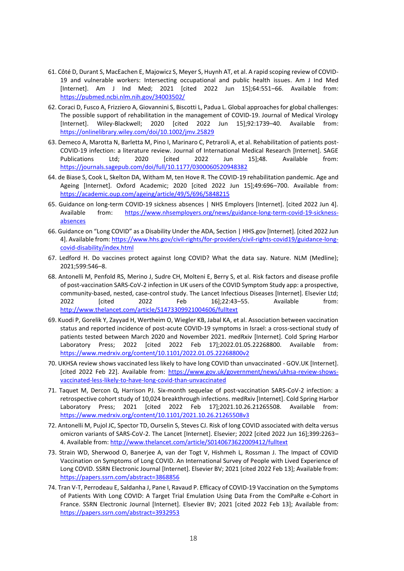- 61. Côté D, Durant S, MacEachen E, Majowicz S, Meyer S, Huynh AT, et al. A rapid scoping review of COVID-19 and vulnerable workers: Intersecting occupational and public health issues. Am J Ind Med [Internet]. Am J Ind Med; 2021 [cited 2022 Jun 15];64:551–66. Available from: <https://pubmed.ncbi.nlm.nih.gov/34003502/>
- 62. Coraci D, Fusco A, Frizziero A, Giovannini S, Biscotti L, Padua L. Global approaches for global challenges: The possible support of rehabilitation in the management of COVID‐19. Journal of Medical Virology [Internet]. Wiley-Blackwell; 2020 [cited 2022 Jun 15];92:1739–40. Available from: <https://onlinelibrary.wiley.com/doi/10.1002/jmv.25829>
- 63. Demeco A, Marotta N, Barletta M, Pino I, Marinaro C, Petraroli A, et al. Rehabilitation of patients post-COVID-19 infection: a literature review. Journal of International Medical Research [Internet]. SAGE Publications Ltd; 2020 [cited 2022 Jun 15];48. Available from: <https://journals.sagepub.com/doi/full/10.1177/0300060520948382>
- 64. de Biase S, Cook L, Skelton DA, Witham M, ten Hove R. The COVID-19 rehabilitation pandemic. Age and Ageing [Internet]. Oxford Academic; 2020 [cited 2022 Jun 15];49:696–700. Available from: <https://academic.oup.com/ageing/article/49/5/696/5848215>
- 65. Guidance on long-term COVID-19 sickness absences | NHS Employers [Internet]. [cited 2022 Jun 4]. Available from: [https://www.nhsemployers.org/news/guidance-long-term-covid-19-sickness](https://www.nhsemployers.org/news/guidance-long-term-covid-19-sickness-absences)[absences](https://www.nhsemployers.org/news/guidance-long-term-covid-19-sickness-absences)
- 66. Guidance on "Long COVID" as a Disability Under the ADA, Section | HHS.gov [Internet]. [cited 2022 Jun 4]. Available from[: https://www.hhs.gov/civil-rights/for-providers/civil-rights-covid19/guidance-long](https://www.hhs.gov/civil-rights/for-providers/civil-rights-covid19/guidance-long-covid-disability/index.html)[covid-disability/index.html](https://www.hhs.gov/civil-rights/for-providers/civil-rights-covid19/guidance-long-covid-disability/index.html)
- 67. Ledford H. Do vaccines protect against long COVID? What the data say. Nature. NLM (Medline); 2021;599:546–8.
- 68. Antonelli M, Penfold RS, Merino J, Sudre CH, Molteni E, Berry S, et al. Risk factors and disease profile of post-vaccination SARS-CoV-2 infection in UK users of the COVID Symptom Study app: a prospective, community-based, nested, case-control study. The Lancet Infectious Diseases [Internet]. Elsevier Ltd; 2022 [cited 2022 Feb 16];22:43–55. Available from: <http://www.thelancet.com/article/S1473309921004606/fulltext>
- 69. Kuodi P, Gorelik Y, Zayyad H, Wertheim O, Wiegler KB, Jabal KA, et al. Association between vaccination status and reported incidence of post-acute COVID-19 symptoms in Israel: a cross-sectional study of patients tested between March 2020 and November 2021. medRxiv [Internet]. Cold Spring Harbor Laboratory Press; 2022 [cited 2022 Feb 17];2022.01.05.22268800. Available from: <https://www.medrxiv.org/content/10.1101/2022.01.05.22268800v2>
- 70. UKHSA review shows vaccinated less likely to have long COVID than unvaccinated GOV.UK [Internet]. [cited 2022 Feb 22]. Available from: [https://www.gov.uk/government/news/ukhsa-review-shows](https://www.gov.uk/government/news/ukhsa-review-shows-vaccinated-less-likely-to-have-long-covid-than-unvaccinated)[vaccinated-less-likely-to-have-long-covid-than-unvaccinated](https://www.gov.uk/government/news/ukhsa-review-shows-vaccinated-less-likely-to-have-long-covid-than-unvaccinated)
- 71. Taquet M, Dercon Q, Harrison PJ. Six-month sequelae of post-vaccination SARS-CoV-2 infection: a retrospective cohort study of 10,024 breakthrough infections. medRxiv [Internet]. Cold Spring Harbor Laboratory Press; 2021 [cited 2022 Feb 17];2021.10.26.21265508. Available from: <https://www.medrxiv.org/content/10.1101/2021.10.26.21265508v3>
- 72. Antonelli M, Pujol JC, Spector TD, Ourselin S, Steves CJ. Risk of long COVID associated with delta versus omicron variants of SARS-CoV-2. The Lancet [Internet]. Elsevier; 2022 [cited 2022 Jun 16];399:2263– 4. Available from[: http://www.thelancet.com/article/S0140673622009412/fulltext](http://www.thelancet.com/article/S0140673622009412/fulltext)
- 73. Strain WD, Sherwood O, Banerjee A, van der Togt V, Hishmeh L, Rossman J. The Impact of COVID Vaccination on Symptoms of Long COVID. An International Survey of People with Lived Experience of Long COVID. SSRN Electronic Journal [Internet]. Elsevier BV; 2021 [cited 2022 Feb 13]; Available from: <https://papers.ssrn.com/abstract=3868856>
- 74. Tran V-T, Perrodeau E, Saldanha J, Pane I, Ravaud P. Efficacy of COVID-19 Vaccination on the Symptoms of Patients With Long COVID: A Target Trial Emulation Using Data From the ComPaRe e-Cohort in France. SSRN Electronic Journal [Internet]. Elsevier BV; 2021 [cited 2022 Feb 13]; Available from: <https://papers.ssrn.com/abstract=3932953>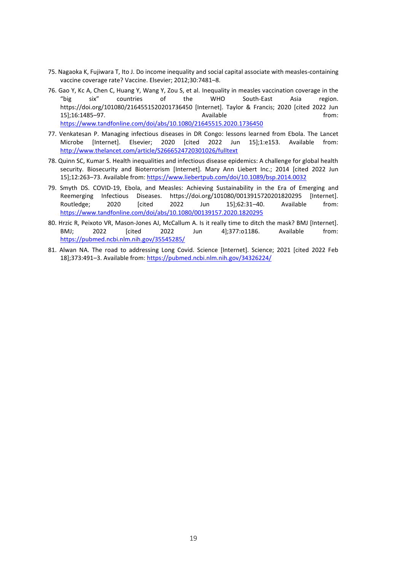- 75. Nagaoka K, Fujiwara T, Ito J. Do income inequality and social capital associate with measles-containing vaccine coverage rate? Vaccine. Elsevier; 2012;30:7481–8.
- 76. Gao Y, Kc A, Chen C, Huang Y, Wang Y, Zou S, et al. Inequality in measles vaccination coverage in the "big six" countries of the WHO South-East Asia region. https://doi.org/101080/2164551520201736450 [Internet]. Taylor & Francis; 2020 [cited 2022 Jun 15];16:1485–97. Available from: <https://www.tandfonline.com/doi/abs/10.1080/21645515.2020.1736450>
- 77. Venkatesan P. Managing infectious diseases in DR Congo: lessons learned from Ebola. The Lancet Microbe [Internet]. Elsevier; 2020 [cited 2022 Jun 15];1:e153. Available from: <http://www.thelancet.com/article/S2666524720301026/fulltext>
- 78. Quinn SC, Kumar S. Health inequalities and infectious disease epidemics: A challenge for global health security. Biosecurity and Bioterrorism [Internet]. Mary Ann Liebert Inc.; 2014 [cited 2022 Jun 15];12:263–73. Available from[: https://www.liebertpub.com/doi/10.1089/bsp.2014.0032](https://www.liebertpub.com/doi/10.1089/bsp.2014.0032)
- 79. Smyth DS. COVID-19, Ebola, and Measles: Achieving Sustainability in the Era of Emerging and Reemerging Infectious Diseases. https://doi.org/101080/0013915720201820295 [Internet]. Routledge; 2020 [cited 2022 Jun 15];62:31–40. Available from: <https://www.tandfonline.com/doi/abs/10.1080/00139157.2020.1820295>
- 80. Hrzic R, Peixoto VR, Mason-Jones AJ, McCallum A. Is it really time to ditch the mask? BMJ [Internet]. BMJ; 2022 [cited 2022 Jun 4];377:o1186. Available from: <https://pubmed.ncbi.nlm.nih.gov/35545285/>
- 81. Alwan NA. The road to addressing Long Covid. Science [Internet]. Science; 2021 [cited 2022 Feb 18];373:491–3. Available from[: https://pubmed.ncbi.nlm.nih.gov/34326224/](https://pubmed.ncbi.nlm.nih.gov/34326224/)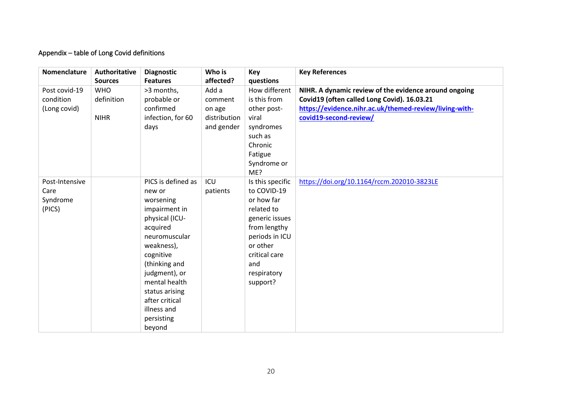# Appendix – table of Long Covid definitions

| Nomenclature                                 | Authoritative<br><b>Sources</b>         | <b>Diagnostic</b><br><b>Features</b>                                                                                                                                                                                                                               | Who is<br>affected?                                      | Key<br>questions                                                                                                                                                               | <b>Key References</b>                                                                                                                                                                    |
|----------------------------------------------|-----------------------------------------|--------------------------------------------------------------------------------------------------------------------------------------------------------------------------------------------------------------------------------------------------------------------|----------------------------------------------------------|--------------------------------------------------------------------------------------------------------------------------------------------------------------------------------|------------------------------------------------------------------------------------------------------------------------------------------------------------------------------------------|
| Post covid-19<br>condition<br>(Long covid)   | <b>WHO</b><br>definition<br><b>NIHR</b> | >3 months,<br>probable or<br>confirmed<br>infection, for 60<br>days                                                                                                                                                                                                | Add a<br>comment<br>on age<br>distribution<br>and gender | How different<br>is this from<br>other post-<br>viral<br>syndromes<br>such as<br>Chronic<br>Fatigue<br>Syndrome or<br>ME?                                                      | NIHR. A dynamic review of the evidence around ongoing<br>Covid19 (often called Long Covid). 16.03.21<br>https://evidence.nihr.ac.uk/themed-review/living-with-<br>covid19-second-review/ |
| Post-Intensive<br>Care<br>Syndrome<br>(PICS) |                                         | PICS is defined as<br>new or<br>worsening<br>impairment in<br>physical (ICU-<br>acquired<br>neuromuscular<br>weakness),<br>cognitive<br>(thinking and<br>judgment), or<br>mental health<br>status arising<br>after critical<br>illness and<br>persisting<br>beyond | ICU<br>patients                                          | Is this specific<br>to COVID-19<br>or how far<br>related to<br>generic issues<br>from lengthy<br>periods in ICU<br>or other<br>critical care<br>and<br>respiratory<br>support? | https://doi.org/10.1164/rccm.202010-3823LE                                                                                                                                               |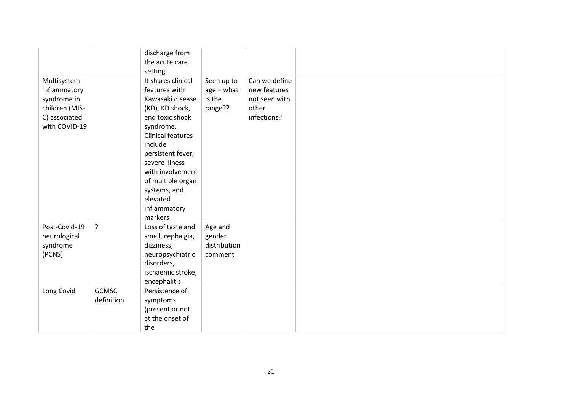|                                                                                                |                            | discharge from<br>the acute care<br>setting                                                                                                                                                                                                                                              |                                                 |                                                                        |  |
|------------------------------------------------------------------------------------------------|----------------------------|------------------------------------------------------------------------------------------------------------------------------------------------------------------------------------------------------------------------------------------------------------------------------------------|-------------------------------------------------|------------------------------------------------------------------------|--|
| Multisystem<br>inflammatory<br>syndrome in<br>children (MIS-<br>C) associated<br>with COVID-19 |                            | It shares clinical<br>features with<br>Kawasaki disease<br>(KD), KD shock,<br>and toxic shock<br>syndrome.<br><b>Clinical features</b><br>include<br>persistent fever,<br>severe illness<br>with involvement<br>of multiple organ<br>systems, and<br>elevated<br>inflammatory<br>markers | Seen up to<br>$age - what$<br>is the<br>range?? | Can we define<br>new features<br>not seen with<br>other<br>infections? |  |
| Post-Covid-19<br>neurological<br>syndrome<br>(PCNS)                                            | ?                          | Loss of taste and<br>smell, cephalgia,<br>dizziness,<br>neuropsychiatric<br>disorders,<br>ischaemic stroke,<br>encephalitis                                                                                                                                                              | Age and<br>gender<br>distribution<br>comment    |                                                                        |  |
| Long Covid                                                                                     | <b>GCMSC</b><br>definition | Persistence of<br>symptoms<br>(present or not<br>at the onset of<br>the                                                                                                                                                                                                                  |                                                 |                                                                        |  |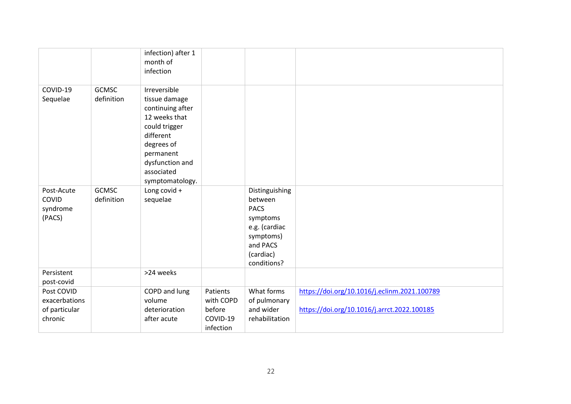|                                                         |                            | infection) after 1<br>month of<br>infection                                                                                                                                     |                                                          |                                                                                                                            |                                                                                             |
|---------------------------------------------------------|----------------------------|---------------------------------------------------------------------------------------------------------------------------------------------------------------------------------|----------------------------------------------------------|----------------------------------------------------------------------------------------------------------------------------|---------------------------------------------------------------------------------------------|
| COVID-19<br>Sequelae                                    | <b>GCMSC</b><br>definition | Irreversible<br>tissue damage<br>continuing after<br>12 weeks that<br>could trigger<br>different<br>degrees of<br>permanent<br>dysfunction and<br>associated<br>symptomatology. |                                                          |                                                                                                                            |                                                                                             |
| Post-Acute<br>COVID<br>syndrome<br>(PACS)               | <b>GCMSC</b><br>definition | Long covid +<br>sequelae                                                                                                                                                        |                                                          | Distinguishing<br>between<br><b>PACS</b><br>symptoms<br>e.g. (cardiac<br>symptoms)<br>and PACS<br>(cardiac)<br>conditions? |                                                                                             |
| Persistent<br>post-covid                                |                            | >24 weeks                                                                                                                                                                       |                                                          |                                                                                                                            |                                                                                             |
| Post COVID<br>exacerbations<br>of particular<br>chronic |                            | COPD and lung<br>volume<br>deterioration<br>after acute                                                                                                                         | Patients<br>with COPD<br>before<br>COVID-19<br>infection | What forms<br>of pulmonary<br>and wider<br>rehabilitation                                                                  | https://doi.org/10.1016/j.eclinm.2021.100789<br>https://doi.org/10.1016/j.arrct.2022.100185 |